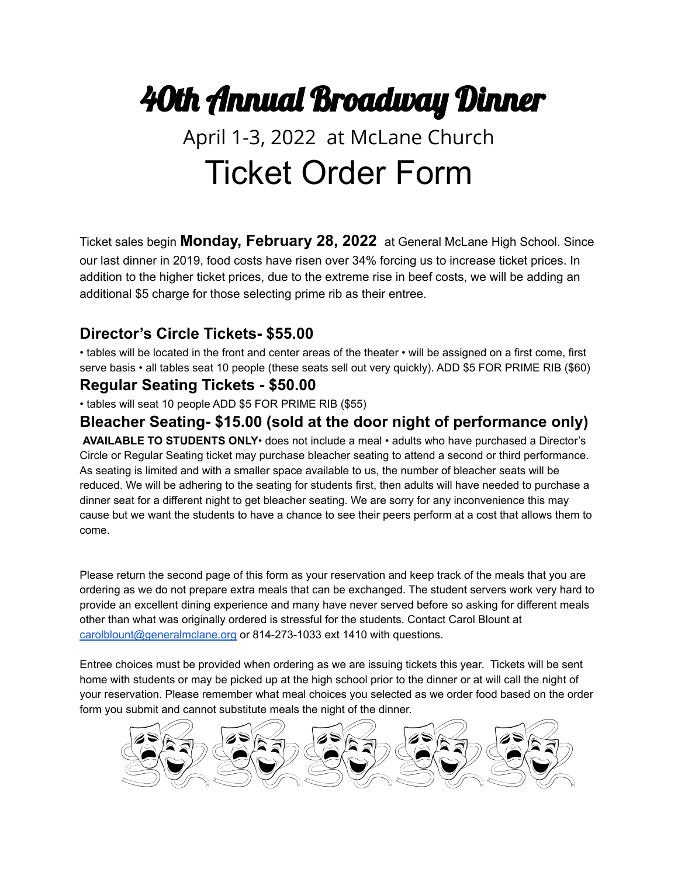# 40th Annual Broadway Dinner

## April 1-3, 2022 at McLane Church Ticket Order Form

Ticket sales begin **Monday, February 28, 2022** at General McLane High School. Since our last dinner in 2019, food costs have risen over 34% forcing us to increase ticket prices. In addition to the higher ticket prices, due to the extreme rise in beef costs, we will be adding an additional \$5 charge for those selecting prime rib as their entree.

### **Director's Circle Tickets- \$55.00**

• tables will be located in the front and center areas of the theater • will be assigned on a first come, first serve basis • all tables seat 10 people (these seats sell out very quickly). ADD \$5 FOR PRIME RIB (\$60)

#### **Regular Seating Tickets - \$50.00**

• tables will seat 10 people ADD \$5 FOR PRIME RIB (\$55)

### **Bleacher Seating- \$15.00 (sold at the door night of performance only)**

**AVAILABLE TO STUDENTS ONLY**• does not include a meal • adults who have purchased a Director's Circle or Regular Seating ticket may purchase bleacher seating to attend a second or third performance. As seating is limited and with a smaller space available to us, the number of bleacher seats will be reduced. We will be adhering to the seating for students first, then adults will have needed to purchase a dinner seat for a different night to get bleacher seating. We are sorry for any inconvenience this may cause but we want the students to have a chance to see their peers perform at a cost that allows them to come.

Please return the second page of this form as your reservation and keep track of the meals that you are ordering as we do not prepare extra meals that can be exchanged. The student servers work very hard to provide an excellent dining experience and many have never served before so asking for different meals other than what was originally ordered is stressful for the students. Contact Carol Blount at [carolblount@generalmclane.org](mailto:carolblount@generalmclane.org) or 814-273-1033 ext 1410 with questions.

Entree choices must be provided when ordering as we are issuing tickets this year. Tickets will be sent home with students or may be picked up at the high school prior to the dinner or at will call the night of your reservation. Please remember what meal choices you selected as we order food based on the order form you submit and cannot substitute meals the night of the dinner.